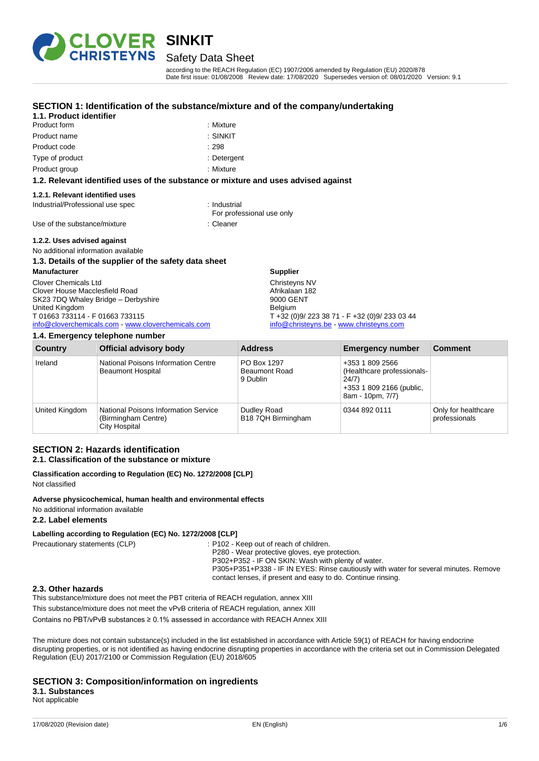

# Safety Data Sheet

according to the REACH Regulation (EC) 1907/2006 amended by Regulation (EU) 2020/878 Date first issue: 01/08/2008 Review date: 17/08/2020 Supersedes version of: 08/01/2020 Version: 9.1

#### **SECTION 1: Identification of the substance/mixture and of the company/undertaking**

### **1.1. Product identifier** Product form **: Mixture** : Mixture

| Product form | : Mixture |
|--------------|-----------|
| Product name | : SINKIT  |

- Product code : 298
- Type of product in the contract of the Detergent
- Product group **: Mixture**

#### **1.2. Relevant identified uses of the substance or mixture and uses advised against**

#### **1.2.1. Relevant identified uses**

Industrial/Professional use spec : Industrial

For professional use only

Use of the substance/mixture in the substance in the set of the substance in the set of the substance in the s

**1.2.2. Uses advised against**

#### No additional information available **1.3. Details of the supplier of the safety data sheet**

# **Manufacturer**

#### Clover Chemicals Ltd Clover House Macclesfield Road SK23 7DQ Whaley Bridge – Derbyshire United Kingdom T 01663 733114 - F 01663 733115

[info@cloverchemicals.com](mailto:info@cloverchemicals.com) - [www.cloverchemicals.com](http://www.cloverchemicals.com/)

#### **1.4. Emergency telephone number**

|                | $1.71$ Linorgonoy tolophono humbor                                           |                                                 |                                                                                                        |                                      |
|----------------|------------------------------------------------------------------------------|-------------------------------------------------|--------------------------------------------------------------------------------------------------------|--------------------------------------|
| <b>Country</b> | <b>Official advisory body</b>                                                | <b>Address</b>                                  | <b>Emergency number</b>                                                                                | <b>Comment</b>                       |
| Ireland        | National Poisons Information Centre<br><b>Beaumont Hospital</b>              | PO Box 1297<br><b>Beaumont Road</b><br>9 Dublin | +353 1 809 2566<br>(Healthcare professionals-<br>24/7)<br>+353 1 809 2166 (public,<br>8am - 10pm, 7/7) |                                      |
| United Kingdom | National Poisons Information Service<br>(Birmingham Centre)<br>City Hospital | Dudley Road<br>B18 7QH Birmingham               | 0344 892 0111                                                                                          | Only for healthcare<br>professionals |

**Supplier** Christeyns NV Afrikalaan 182 9000 GENT Belgium

#### **SECTION 2: Hazards identification 2.1. Classification of the substance or mixture**

#### **Classification according to Regulation (EC) No. 1272/2008 [CLP]** Not classified

**Adverse physicochemical, human health and environmental effects** No additional information available

#### **2.2. Label elements**

#### **Labelling according to Regulation (EC) No. 1272/2008 [CLP]**

Precautionary statements (CLP) : P102 - Keep out of reach of children. P280 - Wear protective gloves, eye protection.

P302+P352 - IF ON SKIN: Wash with plenty of water.

P305+P351+P338 - IF IN EYES: Rinse cautiously with water for several minutes. Remove contact lenses, if present and easy to do. Continue rinsing.

T +32 (0)9/ 223 38 71 - F +32 (0)9/ 233 03 44 [info@christeyns.be](mailto:info@christeyns.be) - [www.christeyns.com](http://www.christeyns.com/)

#### **2.3. Other hazards**

This substance/mixture does not meet the PBT criteria of REACH regulation, annex XIII

This substance/mixture does not meet the vPvB criteria of REACH regulation, annex XIII

Contains no PBT/vPvB substances ≥ 0.1% assessed in accordance with REACH Annex XIII

The mixture does not contain substance(s) included in the list established in accordance with Article 59(1) of REACH for having endocrine disrupting properties, or is not identified as having endocrine disrupting properties in accordance with the criteria set out in Commission Delegated Regulation (EU) 2017/2100 or Commission Regulation (EU) 2018/605

#### **SECTION 3: Composition/information on ingredients 3.1. Substances**

Not applicable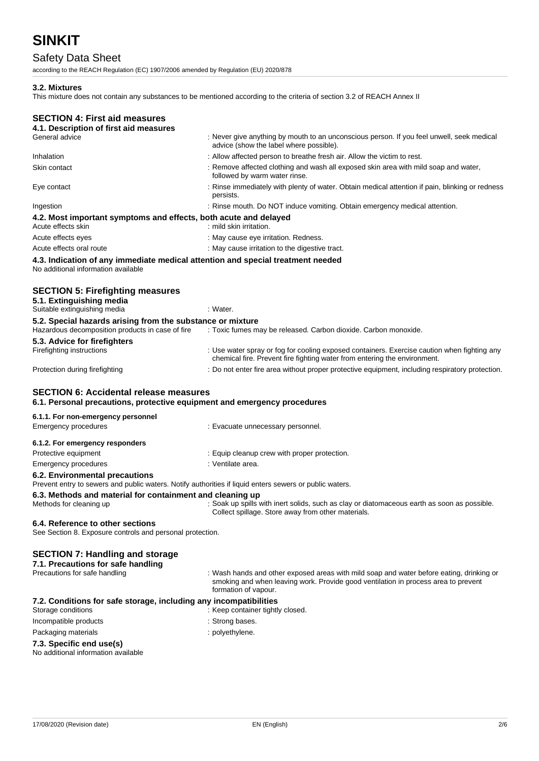# Safety Data Sheet

according to the REACH Regulation (EC) 1907/2006 amended by Regulation (EU) 2020/878

#### **3.2. Mixtures**

This mixture does not contain any substances to be mentioned according to the criteria of section 3.2 of REACH Annex II

# **SECTION 4: First aid measures**

| 4.1. Description of first aid measures                                                                                 |                                                                                                                                      |
|------------------------------------------------------------------------------------------------------------------------|--------------------------------------------------------------------------------------------------------------------------------------|
| General advice                                                                                                         | : Never give anything by mouth to an unconscious person. If you feel unwell, seek medical<br>advice (show the label where possible). |
| Inhalation                                                                                                             | : Allow affected person to breathe fresh air. Allow the victim to rest.                                                              |
| Skin contact                                                                                                           | : Remove affected clothing and wash all exposed skin area with mild soap and water,<br>followed by warm water rinse.                 |
| Eye contact                                                                                                            | : Rinse immediately with plenty of water. Obtain medical attention if pain, blinking or redness<br>persists.                         |
| Ingestion                                                                                                              | : Rinse mouth. Do NOT induce vomiting. Obtain emergency medical attention.                                                           |
| 4.2. Most important symptoms and effects, both acute and delayed<br>Acute effects skin                                 | : mild skin irritation.                                                                                                              |
| Acute effects eyes                                                                                                     | : May cause eye irritation. Redness.                                                                                                 |
| Acute effects oral route                                                                                               | : May cause irritation to the digestive tract.                                                                                       |
| 4.3. Indication of any immediate medical attention and special treatment needed<br>No additional information available |                                                                                                                                      |
| <b>SECTION 5: Firefighting measures</b><br>5.1. Extinguishing media<br>Suitable extinguishing media                    | : Water.                                                                                                                             |
| 5.2. Special hazards arising from the substance or mixture                                                             |                                                                                                                                      |

| Hazardous decomposition products in case of fire | : Toxic fumes may be released. Carbon dioxide. Carbon monoxide.                                                                                                          |
|--------------------------------------------------|--------------------------------------------------------------------------------------------------------------------------------------------------------------------------|
| 5.3. Advice for firefighters                     |                                                                                                                                                                          |
| Firefighting instructions                        | : Use water spray or fog for cooling exposed containers. Exercise caution when fighting any<br>chemical fire. Prevent fire fighting water from entering the environment. |
| Protection during firefighting                   | : Do not enter fire area without proper protective equipment, including respiratory protection.                                                                          |

#### **SECTION 6: Accidental release measures**

**6.1. Personal precautions, protective equipment and emergency procedures**

| 6.1.1. For non-emergency personnel                                                                                                        |                                              |
|-------------------------------------------------------------------------------------------------------------------------------------------|----------------------------------------------|
| Emergency procedures                                                                                                                      | : Evacuate unnecessary personnel.            |
| 6.1.2. For emergency responders                                                                                                           |                                              |
| Protective equipment                                                                                                                      | : Equip cleanup crew with proper protection. |
| Emergency procedures                                                                                                                      | : Ventilate area.                            |
| 6.2. Environmental precautions<br>Prevent entry to sewers and public waters. Notify authorities if liquid enters sewers or public waters. |                                              |

#### **6.3. Methods and material for containment and cleaning up**

Methods for cleaning up : Soak up spills with inert solids, such as clay or diatomaceous earth as soon as possible. Collect spillage. Store away from other materials.

#### **6.4. Reference to other sections**

See Section 8. Exposure controls and personal protection.

#### **SECTION 7: Handling and storage**

|  |  | 7.1. Precautions for safe handling |  |  |
|--|--|------------------------------------|--|--|
|--|--|------------------------------------|--|--|

Precautions for safe handling : Wash hands and other exposed areas with mild soap and water before eating, drinking or smoking and when leaving work. Provide good ventilation in process area to prevent formation of vapour.

#### **7.2. Conditions for safe storage, including any incompatibilities**

|  | Storage conditions |
|--|--------------------|
|--|--------------------|

- 
- Incompatible products in the state of the strong bases.

: Keep container tightly closed.

#### Packaging materials **Example 20** and the polyethylene.

#### **7.3. Specific end use(s)**

No additional information available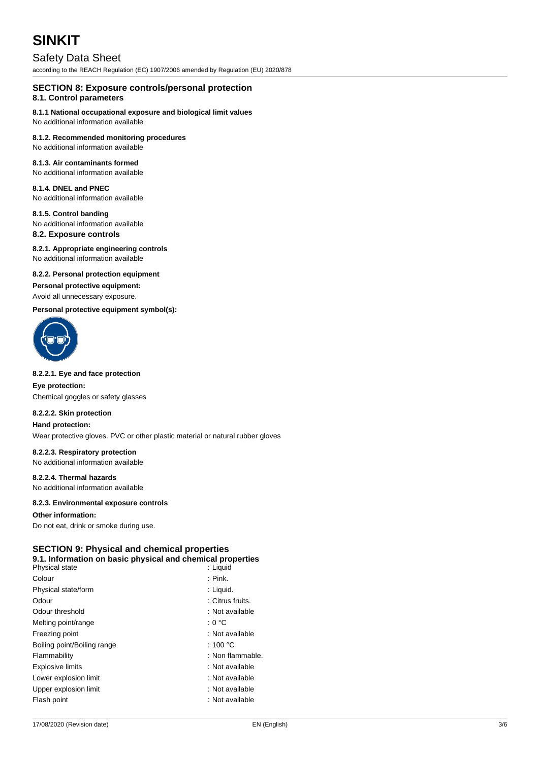# Safety Data Sheet

according to the REACH Regulation (EC) 1907/2006 amended by Regulation (EU) 2020/878

# **SECTION 8: Exposure controls/personal protection**

### **8.1. Control parameters**

## **8.1.1 National occupational exposure and biological limit values**

No additional information available

## **8.1.2. Recommended monitoring procedures**

No additional information available

### **8.1.3. Air contaminants formed**

No additional information available

# **8.1.4. DNEL and PNEC**

No additional information available

#### **8.1.5. Control banding**

No additional information available

# **8.2. Exposure controls**

#### **8.2.1. Appropriate engineering controls**

No additional information available

#### **8.2.2. Personal protection equipment**

#### **Personal protective equipment:**

#### Avoid all unnecessary exposure.

**Personal protective equipment symbol(s):**



#### **8.2.2.1. Eye and face protection**

**Eye protection:** Chemical goggles or safety glasses

#### **8.2.2.2. Skin protection**

#### **Hand protection:**

Wear protective gloves. PVC or other plastic material or natural rubber gloves

#### **8.2.2.3. Respiratory protection**

No additional information available

### **8.2.2.4. Thermal hazards**

No additional information available

#### **8.2.3. Environmental exposure controls**

#### **Other information:**

Do not eat, drink or smoke during use.

## **SECTION 9: Physical and chemical properties**

|                       | 9.1. Information on basic physical and chemical properties |
|-----------------------|------------------------------------------------------------|
| <b>Physical state</b> | hiuni I ·                                                  |

| Physical state              | : Liguia           |
|-----------------------------|--------------------|
| Colour                      | $:$ Pink.          |
| Physical state/form         | : Liquid.          |
| Odour                       | : Citrus fruits.   |
| Odour threshold             | : Not available    |
| Melting point/range         | : 0 °C             |
| Freezing point              | : Not available    |
| Boiling point/Boiling range | : 100 $^{\circ}$ C |
| Flammability                | : Non flammable.   |
| <b>Explosive limits</b>     | : Not available    |
| Lower explosion limit       | : Not available    |
| Upper explosion limit       | : Not available    |
| Flash point                 | : Not available    |
|                             |                    |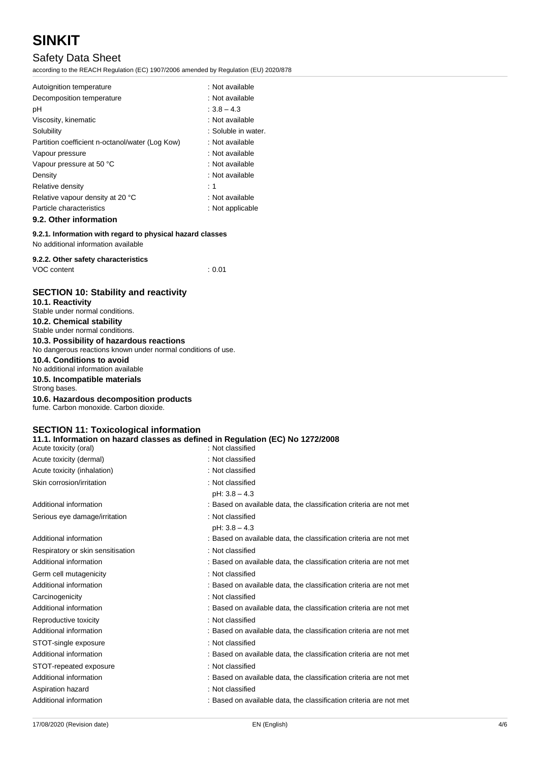# Safety Data Sheet

according to the REACH Regulation (EC) 1907/2006 amended by Regulation (EU) 2020/878

| Autoignition temperature                        | : Not available     |
|-------------------------------------------------|---------------------|
| Decomposition temperature                       | : Not available     |
| рH                                              | $: 3.8 - 4.3$       |
| Viscosity, kinematic                            | : Not available     |
| Solubility                                      | : Soluble in water. |
| Partition coefficient n-octanol/water (Log Kow) | : Not available     |
| Vapour pressure                                 | : Not available     |
| Vapour pressure at 50 °C                        | : Not available     |
| Density                                         | : Not available     |
| Relative density                                | :1                  |
| Relative vapour density at 20 °C                | : Not available     |
| Particle characteristics                        | : Not applicable    |
|                                                 |                     |

#### **9.2. Other information**

**9.2.1. Information with regard to physical hazard classes**

No additional information available

#### **9.2.2. Other safety characteristics**

| VOC content | : 0.01 |
|-------------|--------|
|             |        |

### **SECTION 10: Stability and reactivity**

| <u>ULUITTUI TUI ULUUIIILY UITU TUUVIITTII</u>                                                            |
|----------------------------------------------------------------------------------------------------------|
| 10.1. Reactivity<br>Stable under normal conditions.                                                      |
| 10.2. Chemical stability<br>Stable under normal conditions.                                              |
| 10.3. Possibility of hazardous reactions<br>No dangerous reactions known under normal conditions of use. |
| 10.4. Conditions to avoid<br>No additional information available                                         |
| 10.5. Incompatible materials<br>Strong bases.                                                            |
| 10.6. Hazardous decomposition products<br>fume. Carbon monoxide. Carbon dioxide.                         |
|                                                                                                          |

# **SECTION 11: Toxicological information**

**11.1. Information on hazard classes as defined in Regulation (EC) No 1272/2008** Acute toxicity (oral) **interpretent in the Contract of Contract Contract Contract Contract Contract Contract Contract Contract Contract Contract Contract Contract Contract Contract Contract Contract Contract Contract Contr** 

| Actric toxicity (Oral)            | . INUL UIDSIIIEU                                                   |
|-----------------------------------|--------------------------------------------------------------------|
| Acute toxicity (dermal)           | : Not classified                                                   |
| Acute toxicity (inhalation)       | : Not classified                                                   |
| Skin corrosion/irritation         | : Not classified                                                   |
|                                   | $pH: 3.8 - 4.3$                                                    |
| Additional information            | : Based on available data, the classification criteria are not met |
| Serious eye damage/irritation     | : Not classified                                                   |
|                                   | $pH: 3.8 - 4.3$                                                    |
| Additional information            | : Based on available data, the classification criteria are not met |
| Respiratory or skin sensitisation | : Not classified                                                   |
| Additional information            | : Based on available data, the classification criteria are not met |
| Germ cell mutagenicity            | : Not classified                                                   |
| Additional information            | : Based on available data, the classification criteria are not met |
| Carcinogenicity                   | : Not classified                                                   |
| Additional information            | : Based on available data, the classification criteria are not met |
| Reproductive toxicity             | : Not classified                                                   |
| Additional information            | : Based on available data, the classification criteria are not met |
| STOT-single exposure              | : Not classified                                                   |
| Additional information            | : Based on available data, the classification criteria are not met |
| STOT-repeated exposure            | : Not classified                                                   |
| Additional information            | : Based on available data, the classification criteria are not met |
| Aspiration hazard                 | : Not classified                                                   |
| Additional information            | : Based on available data, the classification criteria are not met |
|                                   |                                                                    |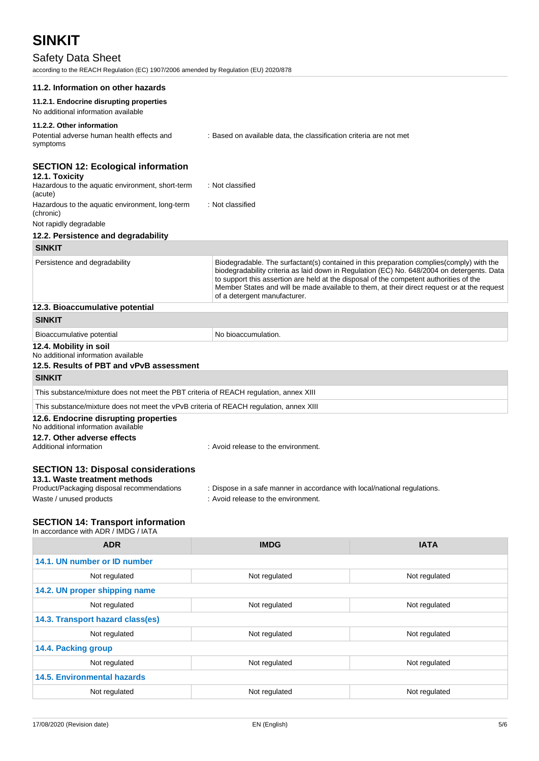# Safety Data Sheet

according to the REACH Regulation (EC) 1907/2006 amended by Regulation (EU) 2020/878

| according to the KEAOH Regulation (EO) T30772000 america by Regulation (EO) 2020/07C                                                                 |                                                                                                                                                                                                                                                                                                                                                                                                                 |               |  |
|------------------------------------------------------------------------------------------------------------------------------------------------------|-----------------------------------------------------------------------------------------------------------------------------------------------------------------------------------------------------------------------------------------------------------------------------------------------------------------------------------------------------------------------------------------------------------------|---------------|--|
| 11.2. Information on other hazards                                                                                                                   |                                                                                                                                                                                                                                                                                                                                                                                                                 |               |  |
| 11.2.1. Endocrine disrupting properties<br>No additional information available                                                                       |                                                                                                                                                                                                                                                                                                                                                                                                                 |               |  |
| 11.2.2. Other information<br>Potential adverse human health effects and<br>symptoms                                                                  | : Based on available data, the classification criteria are not met                                                                                                                                                                                                                                                                                                                                              |               |  |
| <b>SECTION 12: Ecological information</b><br>12.1. Toxicity<br>Hazardous to the aquatic environment, short-term<br>(acute)                           | : Not classified                                                                                                                                                                                                                                                                                                                                                                                                |               |  |
| Hazardous to the aquatic environment, long-term<br>(chronic)<br>Not rapidly degradable                                                               | : Not classified                                                                                                                                                                                                                                                                                                                                                                                                |               |  |
| 12.2. Persistence and degradability                                                                                                                  |                                                                                                                                                                                                                                                                                                                                                                                                                 |               |  |
| <b>SINKIT</b>                                                                                                                                        |                                                                                                                                                                                                                                                                                                                                                                                                                 |               |  |
| Persistence and degradability                                                                                                                        | Biodegradable. The surfactant(s) contained in this preparation complies(comply) with the<br>biodegradability criteria as laid down in Regulation (EC) No. 648/2004 on detergents. Data<br>to support this assertion are held at the disposal of the competent authorities of the<br>Member States and will be made available to them, at their direct request or at the request<br>of a detergent manufacturer. |               |  |
| 12.3. Bioaccumulative potential                                                                                                                      |                                                                                                                                                                                                                                                                                                                                                                                                                 |               |  |
| <b>SINKIT</b>                                                                                                                                        |                                                                                                                                                                                                                                                                                                                                                                                                                 |               |  |
| Bioaccumulative potential                                                                                                                            | No bioaccumulation.                                                                                                                                                                                                                                                                                                                                                                                             |               |  |
| 12.4. Mobility in soil<br>No additional information available<br>12.5. Results of PBT and vPvB assessment                                            |                                                                                                                                                                                                                                                                                                                                                                                                                 |               |  |
| <b>SINKIT</b>                                                                                                                                        |                                                                                                                                                                                                                                                                                                                                                                                                                 |               |  |
| This substance/mixture does not meet the PBT criteria of REACH regulation, annex XIII                                                                |                                                                                                                                                                                                                                                                                                                                                                                                                 |               |  |
| This substance/mixture does not meet the vPvB criteria of REACH regulation, annex XIII                                                               |                                                                                                                                                                                                                                                                                                                                                                                                                 |               |  |
| 12.6. Endocrine disrupting properties<br>No additional information available<br>12.7. Other adverse effects<br>Additional information                | : Avoid release to the environment.                                                                                                                                                                                                                                                                                                                                                                             |               |  |
| <b>SECTION 13: Disposal considerations</b><br>13.1. Waste treatment methods<br>Product/Packaging disposal recommendations<br>Waste / unused products | : Dispose in a safe manner in accordance with local/national regulations.<br>: Avoid release to the environment.                                                                                                                                                                                                                                                                                                |               |  |
| <b>SECTION 14: Transport information</b><br>In accordance with ADR / IMDG / IATA                                                                     |                                                                                                                                                                                                                                                                                                                                                                                                                 |               |  |
| <b>ADR</b>                                                                                                                                           | <b>IMDG</b>                                                                                                                                                                                                                                                                                                                                                                                                     | <b>IATA</b>   |  |
| 14.1. UN number or ID number                                                                                                                         |                                                                                                                                                                                                                                                                                                                                                                                                                 |               |  |
| Not regulated                                                                                                                                        | Not regulated                                                                                                                                                                                                                                                                                                                                                                                                   | Not regulated |  |
| 14.2. UN proper shipping name                                                                                                                        |                                                                                                                                                                                                                                                                                                                                                                                                                 |               |  |
| Not regulated                                                                                                                                        | Not regulated                                                                                                                                                                                                                                                                                                                                                                                                   | Not regulated |  |
| 14.3. Transport hazard class(es)                                                                                                                     |                                                                                                                                                                                                                                                                                                                                                                                                                 |               |  |
|                                                                                                                                                      |                                                                                                                                                                                                                                                                                                                                                                                                                 |               |  |

| <b>ADR</b>                         | <b>IMDG</b>   | <b>IATA</b>   |  |
|------------------------------------|---------------|---------------|--|
| 14.1. UN number or ID number       |               |               |  |
| Not regulated                      | Not regulated | Not regulated |  |
| 14.2. UN proper shipping name      |               |               |  |
| Not regulated                      | Not regulated | Not regulated |  |
| 14.3. Transport hazard class(es)   |               |               |  |
| Not regulated                      | Not regulated | Not regulated |  |
| 14.4. Packing group                |               |               |  |
| Not regulated                      | Not regulated | Not regulated |  |
| <b>14.5. Environmental hazards</b> |               |               |  |
| Not regulated                      | Not regulated | Not regulated |  |